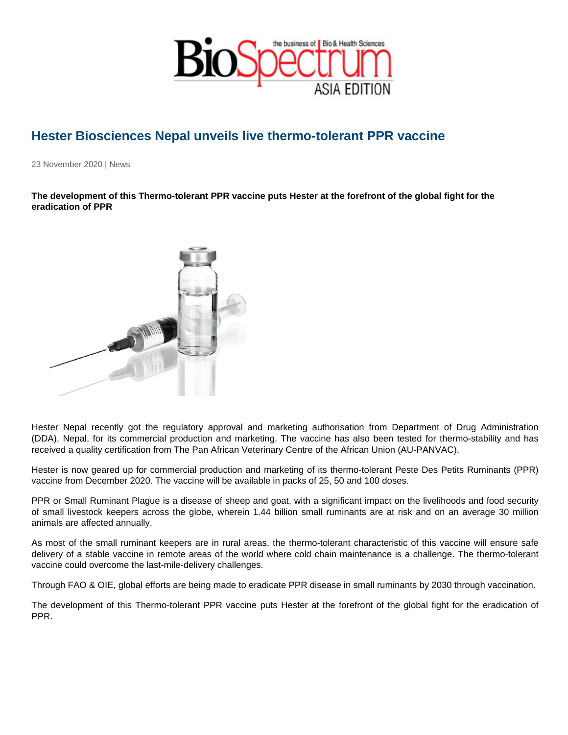## Hester Biosciences Nepal unveils live thermo-tolerant PPR vaccine

23 November 2020 | News

The development of this Thermo-tolerant PPR vaccine puts Hester at the forefront of the global fight for the eradication of PPR

Hester Nepal recently got the regulatory approval and marketing authorisation from Department of Drug Administration (DDA), Nepal, for its commercial production and marketing. The vaccine has also been tested for thermo-stability and has received a quality certification from The Pan African Veterinary Centre of the African Union (AU-PANVAC).

Hester is now geared up for commercial production and marketing of its thermo-tolerant Peste Des Petits Ruminants (PPR) vaccine from December 2020. The vaccine will be available in packs of 25, 50 and 100 doses.

PPR or Small Ruminant Plague is a disease of sheep and goat, with a significant impact on the livelihoods and food security of small livestock keepers across the globe, wherein 1.44 billion small ruminants are at risk and on an average 30 million animals are affected annually.

As most of the small ruminant keepers are in rural areas, the thermo-tolerant characteristic of this vaccine will ensure safe delivery of a stable vaccine in remote areas of the world where cold chain maintenance is a challenge. The thermo-tolerant vaccine could overcome the last-mile-delivery challenges.

Through FAO & OIE, global efforts are being made to eradicate PPR disease in small ruminants by 2030 through vaccination.

The development of this Thermo-tolerant PPR vaccine puts Hester at the forefront of the global fight for the eradication of PPR.